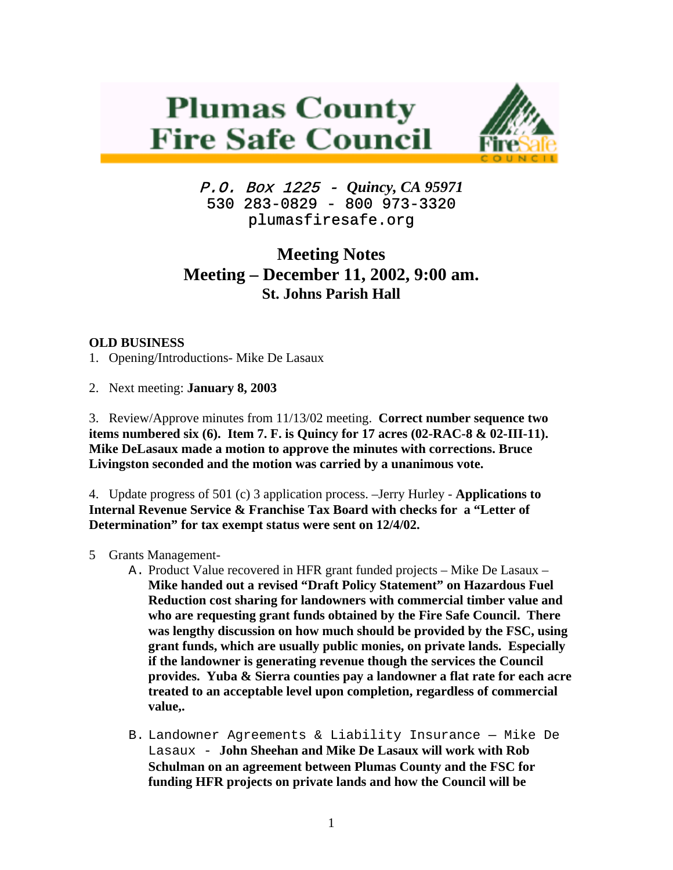## **Plumas County Fire Safe Council**



P.O. Box 1225 - *Quincy, CA 95971*  530 283-0829 - 800 973-3320 plumasfiresafe.org

## **Meeting Notes Meeting – December 11, 2002, 9:00 am. St. Johns Parish Hall**

## **OLD BUSINESS**

1. Opening/Introductions- Mike De Lasaux

2. Next meeting: **January 8, 2003** 

3. Review/Approve minutes from 11/13/02 meeting. **Correct number sequence two items numbered six (6). Item 7. F. is Quincy for 17 acres (02-RAC-8 & 02-III-11). Mike DeLasaux made a motion to approve the minutes with corrections. Bruce Livingston seconded and the motion was carried by a unanimous vote.**

4. Update progress of 501 (c) 3 application process. –Jerry Hurley - **Applications to Internal Revenue Service & Franchise Tax Board with checks for a "Letter of Determination" for tax exempt status were sent on 12/4/02.**

- 5 Grants Management-
	- A. Product Value recovered in HFR grant funded projects Mike De Lasaux **Mike handed out a revised "Draft Policy Statement" on Hazardous Fuel Reduction cost sharing for landowners with commercial timber value and who are requesting grant funds obtained by the Fire Safe Council. There was lengthy discussion on how much should be provided by the FSC, using grant funds, which are usually public monies, on private lands. Especially if the landowner is generating revenue though the services the Council provides. Yuba & Sierra counties pay a landowner a flat rate for each acre treated to an acceptable level upon completion, regardless of commercial value,.**
	- B. Landowner Agreements & Liability Insurance Mike De Lasaux - **John Sheehan and Mike De Lasaux will work with Rob Schulman on an agreement between Plumas County and the FSC for funding HFR projects on private lands and how the Council will be**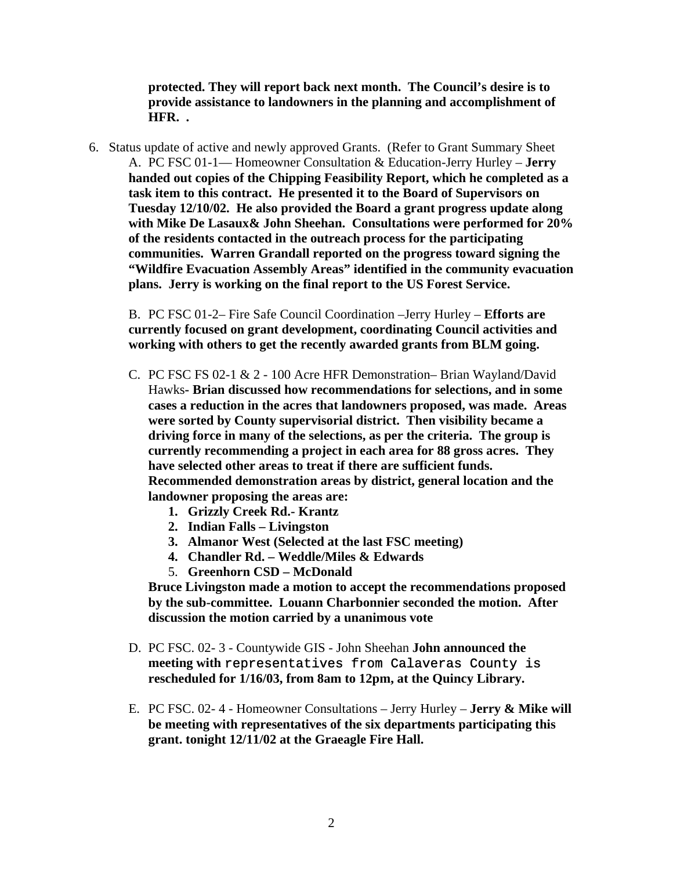**protected. They will report back next month. The Council's desire is to provide assistance to landowners in the planning and accomplishment of HFR. .**

6. Status update of active and newly approved Grants. (Refer to Grant Summary Sheet A. PC FSC 01-1— Homeowner Consultation & Education-Jerry Hurley – **Jerry handed out copies of the Chipping Feasibility Report, which he completed as a task item to this contract. He presented it to the Board of Supervisors on Tuesday 12/10/02. He also provided the Board a grant progress update along with Mike De Lasaux& John Sheehan. Consultations were performed for 20% of the residents contacted in the outreach process for the participating communities. Warren Grandall reported on the progress toward signing the "Wildfire Evacuation Assembly Areas" identified in the community evacuation plans. Jerry is working on the final report to the US Forest Service.** 

B. PC FSC 01-2– Fire Safe Council Coordination –Jerry Hurley – **Efforts are currently focused on grant development, coordinating Council activities and working with others to get the recently awarded grants from BLM going.**

- C. PC FSC FS 02-1 & 2 100 Acre HFR Demonstration– Brian Wayland/David Hawks**- Brian discussed how recommendations for selections, and in some cases a reduction in the acres that landowners proposed, was made. Areas were sorted by County supervisorial district. Then visibility became a driving force in many of the selections, as per the criteria. The group is currently recommending a project in each area for 88 gross acres. They have selected other areas to treat if there are sufficient funds. Recommended demonstration areas by district, general location and the landowner proposing the areas are:**
	- **1. Grizzly Creek Rd.- Krantz**
	- **2. Indian Falls Livingston**
	- **3. Almanor West (Selected at the last FSC meeting)**
	- **4. Chandler Rd. Weddle/Miles & Edwards**
	- 5. **Greenhorn CSD McDonald**

**Bruce Livingston made a motion to accept the recommendations proposed by the sub-committee. Louann Charbonnier seconded the motion. After discussion the motion carried by a unanimous vote**

- D. PC FSC. 02- 3 Countywide GIS John Sheehan **John announced the meeting with** representatives from Calaveras County is **rescheduled for 1/16/03, from 8am to 12pm, at the Quincy Library.**
- E. PC FSC. 02- 4 Homeowner Consultations Jerry Hurley **Jerry & Mike will be meeting with representatives of the six departments participating this grant. tonight 12/11/02 at the Graeagle Fire Hall.**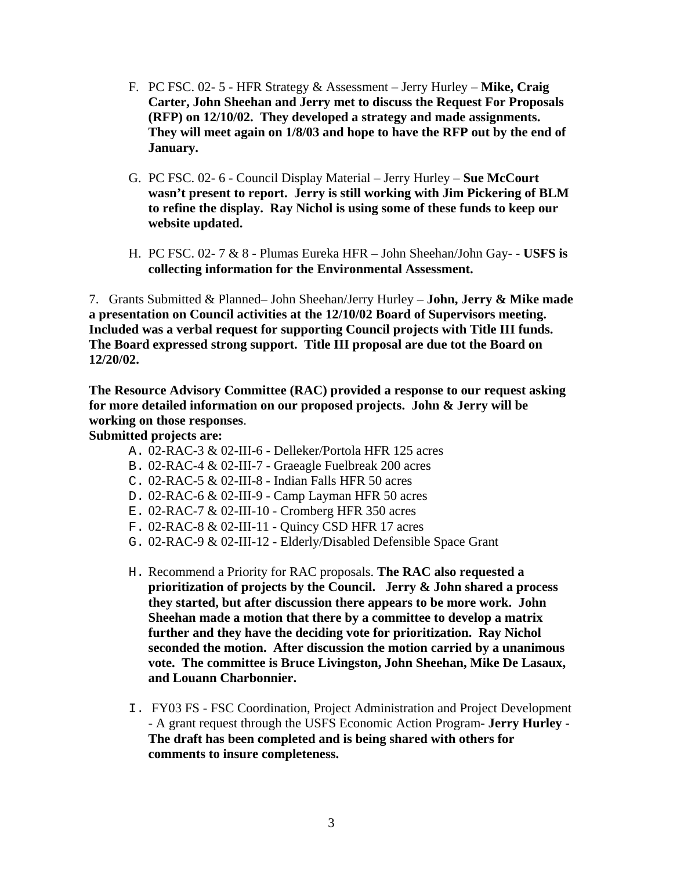- F. PC FSC. 02- 5 HFR Strategy & Assessment Jerry Hurley **Mike, Craig Carter, John Sheehan and Jerry met to discuss the Request For Proposals (RFP) on 12/10/02. They developed a strategy and made assignments. They will meet again on 1/8/03 and hope to have the RFP out by the end of January.**
- G. PC FSC. 02- 6 Council Display Material Jerry Hurley **Sue McCourt wasn't present to report. Jerry is still working with Jim Pickering of BLM to refine the display. Ray Nichol is using some of these funds to keep our website updated.**
- H. PC FSC. 02- 7 & 8 Plumas Eureka HFR John Sheehan/John Gay- - **USFS is collecting information for the Environmental Assessment.**

7. Grants Submitted & Planned– John Sheehan/Jerry Hurley – **John, Jerry & Mike made a presentation on Council activities at the 12/10/02 Board of Supervisors meeting. Included was a verbal request for supporting Council projects with Title III funds. The Board expressed strong support. Title III proposal are due tot the Board on 12/20/02.** 

**The Resource Advisory Committee (RAC) provided a response to our request asking for more detailed information on our proposed projects. John & Jerry will be working on those responses**.

**Submitted projects are:** 

- A. 02-RAC-3 & 02-III-6 Delleker/Portola HFR 125 acres
- B. 02-RAC-4 & 02-III-7 Graeagle Fuelbreak 200 acres
- C. 02-RAC-5 & 02-III-8 Indian Falls HFR 50 acres
- D. 02-RAC-6 & 02-III-9 Camp Layman HFR 50 acres
- E. 02-RAC-7 & 02-III-10 Cromberg HFR 350 acres
- F. 02-RAC-8 & 02-III-11 Quincy CSD HFR 17 acres
- G. 02-RAC-9 & 02-III-12 Elderly/Disabled Defensible Space Grant
- H. Recommend a Priority for RAC proposals. **The RAC also requested a prioritization of projects by the Council. Jerry & John shared a process they started, but after discussion there appears to be more work. John Sheehan made a motion that there by a committee to develop a matrix further and they have the deciding vote for prioritization. Ray Nichol seconded the motion. After discussion the motion carried by a unanimous vote. The committee is Bruce Livingston, John Sheehan, Mike De Lasaux, and Louann Charbonnier.**
- I. FY03 FS FSC Coordination, Project Administration and Project Development - A grant request through the USFS Economic Action Program**- Jerry Hurley - The draft has been completed and is being shared with others for comments to insure completeness.**